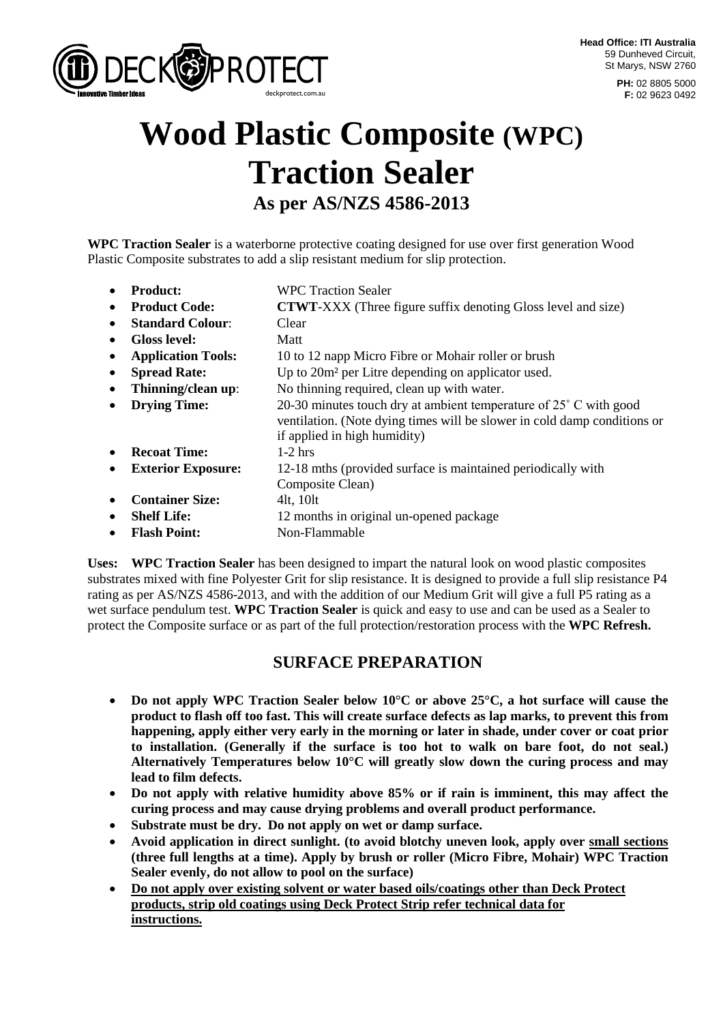

**PH:** 02 8805 5000 **F:** 02 9623 0492

# **Wood Plastic Composite (WPC) Traction Sealer As per AS/NZS 4586-2013**

**WPC Traction Sealer** is a waterborne protective coating designed for use over first generation Wood Plastic Composite substrates to add a slip resistant medium for slip protection.

• **Product:** WPC Traction Sealer • **Product Code: CTWT-XXX** (Three figure suffix denoting Gloss level and size) • **Standard Colour:** Clear • **Gloss level:** Matt • **Application Tools:** 10 to 12 napp Micro Fibre or Mohair roller or brush • **Spread Rate:** Up to 20m<sup>2</sup> per Litre depending on applicator used. • **Thinning/clean up**: No thinning required, clean up with water. **Drying Time:** 20-30 minutes touch dry at ambient temperature of 25° C with good ventilation. (Note dying times will be slower in cold damp conditions or if applied in high humidity) • **Recoat Time:** 1-2 hrs • **Exterior Exposure:** 12-18 mths (provided surface is maintained periodically with Composite Clean) • **Container Size:** 4lt. 10lt • **Shelf Life:** 12 months in original un-opened package • **Flash Point:** Non-Flammable

**Uses: WPC Traction Sealer** has been designed to impart the natural look on wood plastic composites substrates mixed with fine Polyester Grit for slip resistance. It is designed to provide a full slip resistance P4 rating as per AS/NZS 4586-2013, and with the addition of our Medium Grit will give a full P5 rating as a wet surface pendulum test. **WPC Traction Sealer** is quick and easy to use and can be used as a Sealer to protect the Composite surface or as part of the full protection/restoration process with the **WPC Refresh.**

# **SURFACE PREPARATION**

- **Do not apply WPC Traction Sealer below 10°C or above 25°C, a hot surface will cause the product to flash off too fast. This will create surface defects as lap marks, to prevent this from happening, apply either very early in the morning or later in shade, under cover or coat prior to installation. (Generally if the surface is too hot to walk on bare foot, do not seal.) Alternatively Temperatures below 10°C will greatly slow down the curing process and may lead to film defects.**
- **Do not apply with relative humidity above 85% or if rain is imminent, this may affect the curing process and may cause drying problems and overall product performance.**
- **Substrate must be dry. Do not apply on wet or damp surface.**
- **Avoid application in direct sunlight. (to avoid blotchy uneven look, apply over small sections (three full lengths at a time). Apply by brush or roller (Micro Fibre, Mohair) WPC Traction Sealer evenly, do not allow to pool on the surface)**
- **Do not apply over existing solvent or water based oils/coatings other than Deck Protect products, strip old coatings using Deck Protect Strip refer technical data for instructions.**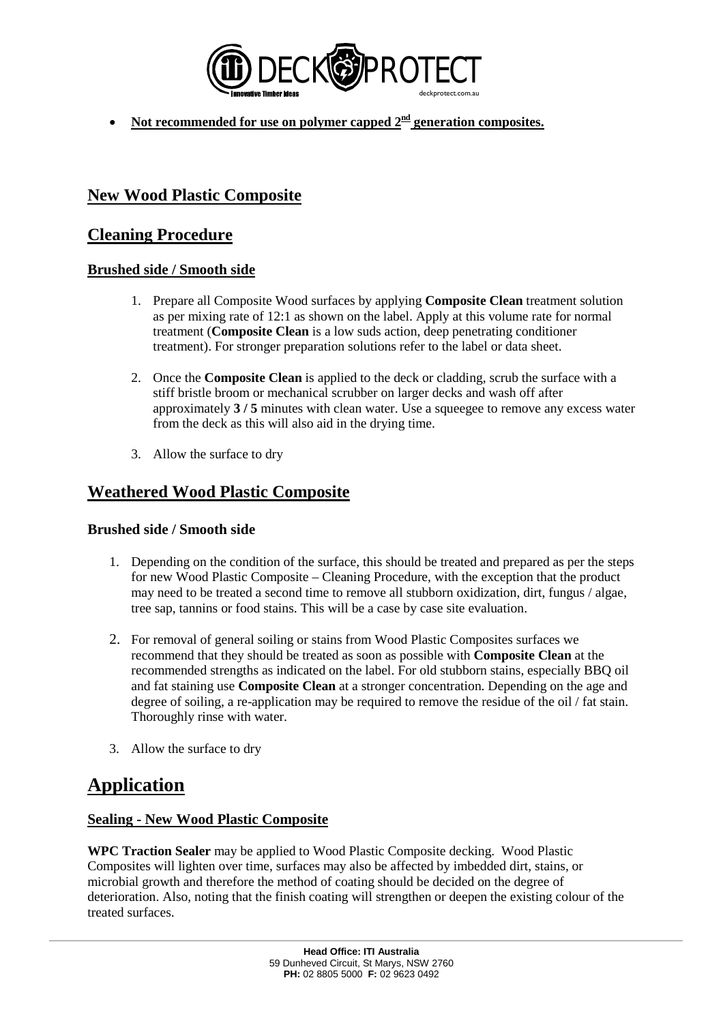

• Not recommended for use on polymer capped  $2^{\frac{nd}{n}}$  generation composites.

# **New Wood Plastic Composite**

## **Cleaning Procedure**

### **Brushed side / Smooth side**

- 1. Prepare all Composite Wood surfaces by applying **Composite Clean** treatment solution as per mixing rate of 12:1 as shown on the label. Apply at this volume rate for normal treatment (**Composite Clean** is a low suds action, deep penetrating conditioner treatment). For stronger preparation solutions refer to the label or data sheet.
- 2. Once the **Composite Clean** is applied to the deck or cladding, scrub the surface with a stiff bristle broom or mechanical scrubber on larger decks and wash off after approximately **3 / 5** minutes with clean water. Use a squeegee to remove any excess water from the deck as this will also aid in the drying time.
- 3. Allow the surface to dry

# **Weathered Wood Plastic Composite**

### **Brushed side / Smooth side**

- 1. Depending on the condition of the surface, this should be treated and prepared as per the steps for new Wood Plastic Composite – Cleaning Procedure, with the exception that the product may need to be treated a second time to remove all stubborn oxidization, dirt, fungus / algae, tree sap, tannins or food stains. This will be a case by case site evaluation.
- 2. For removal of general soiling or stains from Wood Plastic Composites surfaces we recommend that they should be treated as soon as possible with **Composite Clean** at the recommended strengths as indicated on the label. For old stubborn stains, especially BBQ oil and fat staining use **Composite Clean** at a stronger concentration. Depending on the age and degree of soiling, a re-application may be required to remove the residue of the oil / fat stain. Thoroughly rinse with water.
- 3. Allow the surface to dry

# **Application**

### **Sealing - New Wood Plastic Composite**

**WPC Traction Sealer** may be applied to Wood Plastic Composite decking. Wood Plastic Composites will lighten over time, surfaces may also be affected by imbedded dirt, stains, or microbial growth and therefore the method of coating should be decided on the degree of deterioration. Also, noting that the finish coating will strengthen or deepen the existing colour of the treated surfaces.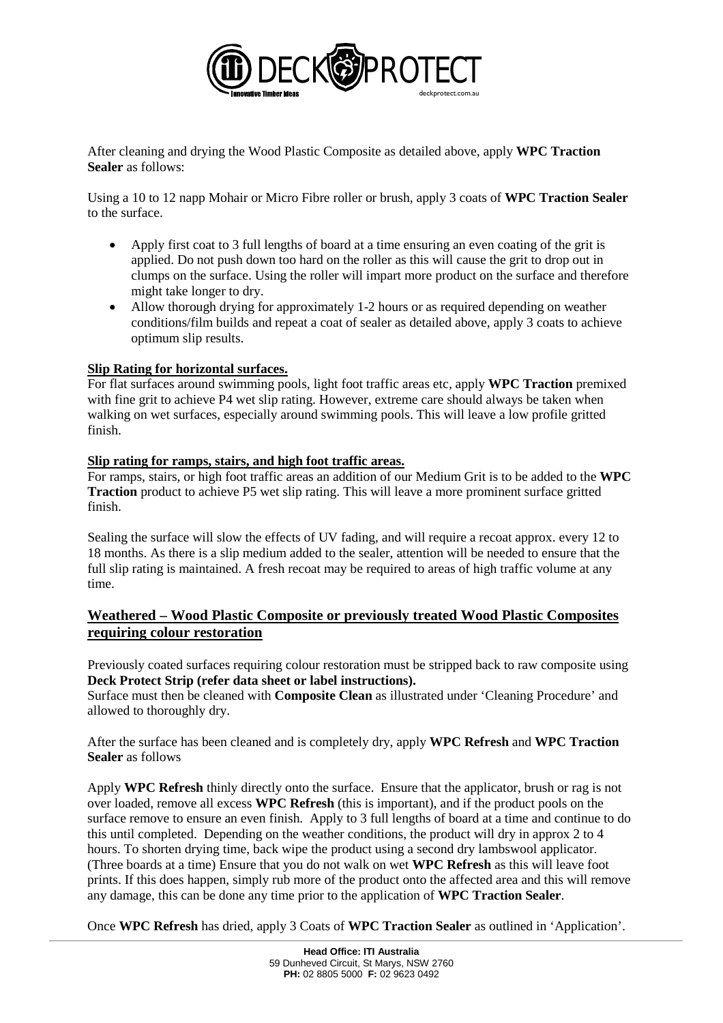

After cleaning and drying the Wood Plastic Composite as detailed above, apply **WPC Traction Sealer** as follows:

Using a 10 to 12 napp Mohair or Micro Fibre roller or brush, apply 3 coats of **WPC Traction Sealer** to the surface.

- Apply first coat to 3 full lengths of board at a time ensuring an even coating of the grit is applied. Do not push down too hard on the roller as this will cause the grit to drop out in clumps on the surface. Using the roller will impart more product on the surface and therefore might take longer to dry.
- Allow thorough drying for approximately 1-2 hours or as required depending on weather conditions/film builds and repeat a coat of sealer as detailed above, apply 3 coats to achieve optimum slip results.

#### **Slip Rating for horizontal surfaces.**

For flat surfaces around swimming pools, light foot traffic areas etc, apply **WPC Traction** premixed with fine grit to achieve P4 wet slip rating. However, extreme care should always be taken when walking on wet surfaces, especially around swimming pools. This will leave a low profile gritted finish.

#### **Slip rating for ramps, stairs, and high foot traffic areas.**

For ramps, stairs, or high foot traffic areas an addition of our Medium Grit is to be added to the **WPC Traction** product to achieve P5 wet slip rating. This will leave a more prominent surface gritted finish.

Sealing the surface will slow the effects of UV fading, and will require a recoat approx. every 12 to 18 months. As there is a slip medium added to the sealer, attention will be needed to ensure that the full slip rating is maintained. A fresh recoat may be required to areas of high traffic volume at any time.

### **Weathered – Wood Plastic Composite or previously treated Wood Plastic Composites requiring colour restoration**

Previously coated surfaces requiring colour restoration must be stripped back to raw composite using **Deck Protect Strip (refer data sheet or label instructions).** 

Surface must then be cleaned with **Composite Clean** as illustrated under 'Cleaning Procedure' and allowed to thoroughly dry.

After the surface has been cleaned and is completely dry, apply **WPC Refresh** and **WPC Traction Sealer** as follows

Apply **WPC Refresh** thinly directly onto the surface. Ensure that the applicator, brush or rag is not over loaded, remove all excess **WPC Refresh** (this is important), and if the product pools on the surface remove to ensure an even finish. Apply to 3 full lengths of board at a time and continue to do this until completed. Depending on the weather conditions, the product will dry in approx 2 to 4 hours. To shorten drying time, back wipe the product using a second dry lambswool applicator. (Three boards at a time) Ensure that you do not walk on wet **WPC Refresh** as this will leave foot prints. If this does happen, simply rub more of the product onto the affected area and this will remove any damage, this can be done any time prior to the application of **WPC Traction Sealer**.

Once **WPC Refresh** has dried, apply 3 Coats of **WPC Traction Sealer** as outlined in 'Application'.